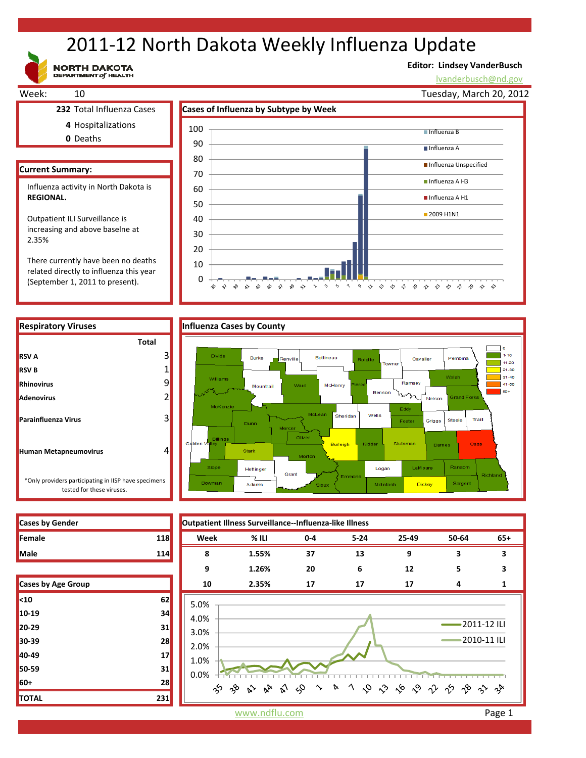# 2011‐12 North Dakota Weekly Influenza Update

**NORTH DAKOTA**<br>DEPARTMENT of HEALTH

## **Editor: Lindsey VanderBusch**

lvanderbusch@nd.gov



0 10

 $\hat{\mathbf{v}}$ 

 $\sim$ 

☆

 $\mathbb{R}^3$   $\mathbb{R}^3$ 

వ⊳ చ

 $\mathbb{S}^3$   $\mathbb{S}^3$  $\sim$ 

There currently have been no deaths related directly to influenza this year (September 1, 2011 to present).

**RSV A**

**RSV B Rhinovirus Adenovirus**

**Parainfluenza Virus**

**Human Metapneumovirus**

### **Respiratory Viruses Influenza Cases by County Total**  $\alpha$ 3 Divide  $1 - 10$ Burke **Renville** Bottineau Cavalie Pembir  $11-20$ 1  $\overline{\phantom{1}}$  21-30 .<br>Walsh  $31 - 40$ 9 Rar  $41 - 50$ Mountrail McHenry  $50 +$ Benson 2 ′ъ .<br>Nelson Edd Wells Sheridan 3 Steele Traill Grigas Foste Dunn **Burleich Stutsman** 4 Stark LaM oure Ran Hettinger Logan Grant \*Only providers participating in IISP have specimens Sargen Adams McIntos Dickey

うっ しゅ ふ ふ ふ ふ ふ ふ ふ ふ ふ ふ



tested for these viruses.

| <b>Cases by Age Group</b> |     |
|---------------------------|-----|
| <sub>10</sub>             | 62  |
| 10-19                     | 34  |
| 20-29                     | 31  |
| 30-39                     | 28  |
| 40-49                     | 17  |
| 50-59                     | 31  |
| 60+                       | 28  |
| <b>TOTAL</b>              | 231 |



www.ndflu.com **Page 1**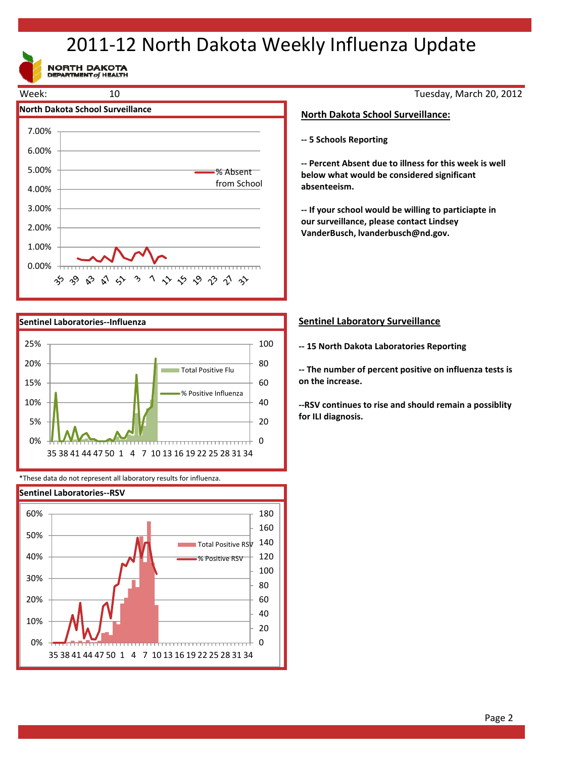# 2011‐12 North Dakota Weekly Influenza Update

NORTH DAKOTA





\*These data do not represent all laboratory results for influenza.



Tuesday, March 20, 2012

### **North Dakota School Surveillance:**

**‐‐ 5 Schools Reporting**

**‐‐ Percent Absent due to illness for this week is well below what would be considered significant absenteeism.**

**‐‐ If your school would be willing to particiapte in our surveillance, please contact Lindsey VanderBusch, lvanderbusch@nd.gov.**

### **Sentinel Laboratory Surveillance**

**‐‐ 15 North Dakota Laboratories Reporting**

**‐‐ The number of percent positive on influenza tests is on the increase.**

**‐‐RSV continues to rise and should remain a possiblity for ILI diagnosis.**